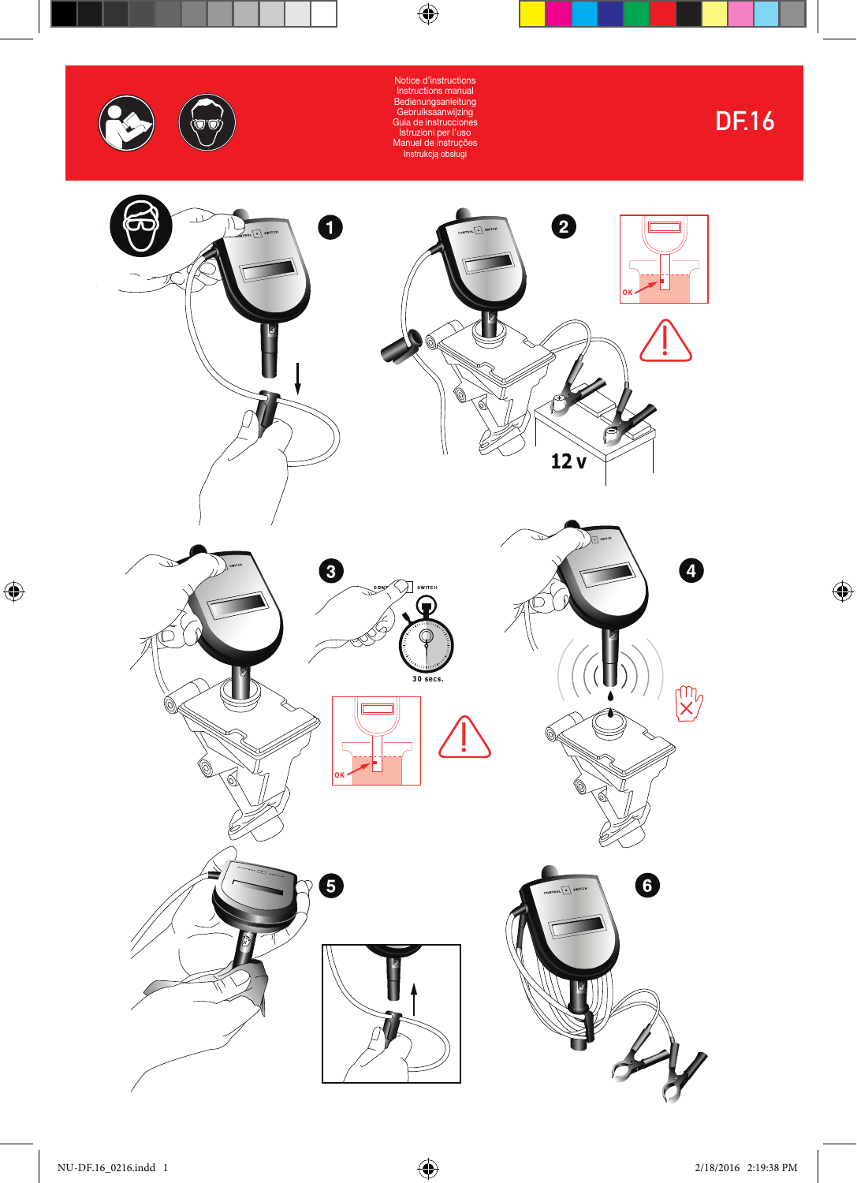



![](_page_0_Picture_2.jpeg)

Votice d'instr Instructions manual Bedienungsanleitung Gebruiksaanwijzing Guia de instrucciones Istruzioni per l'uso Manuel de instruções Instrukcją obsługi

 $\bigoplus$ 

 $\bigoplus$ 

DF.16

 $\bigoplus$